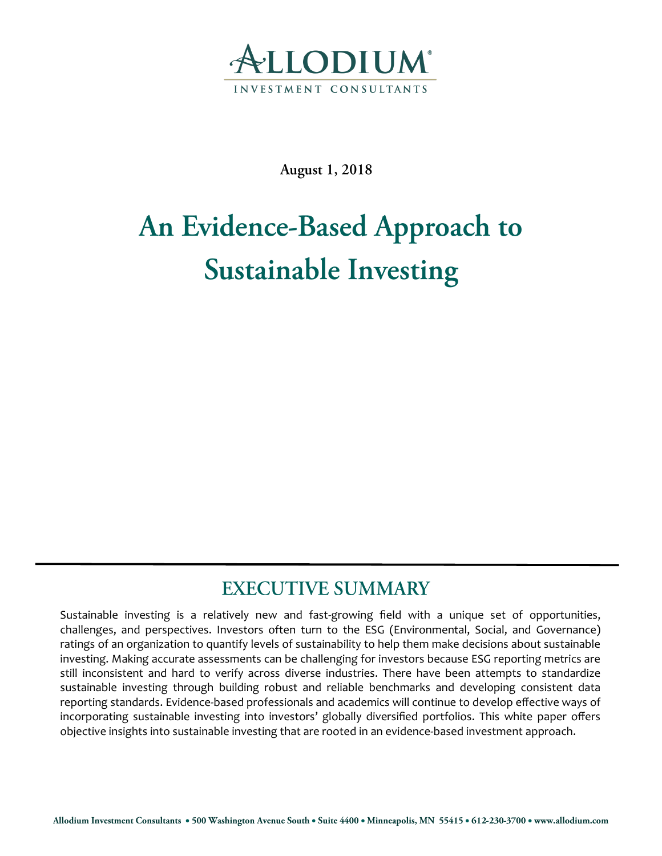

**August 1, 2018** 

# An Evidence-Based Approach to **Sustainable Investing**

## **EXECUTIVE SUMMARY**

Sustainable investing is a relatively new and fast-growing field with a unique set of opportunities, challenges, and perspectives. Investors often turn to the ESG (Environmental, Social, and Governance) ratings of an organization to quantify levels of sustainability to help them make decisions about sustainable investing. Making accurate assessments can be challenging for investors because ESG reporting metrics are still inconsistent and hard to verify across diverse industries. There have been attempts to standardize sustainable investing through building robust and reliable benchmarks and developing consistent data reporting standards. Evidence-based professionals and academics will continue to develop effective ways of incorporating sustainable investing into investors' globally diversified portfolios. This white paper offers objective insights into sustainable investing that are rooted in an evidence-based investment approach.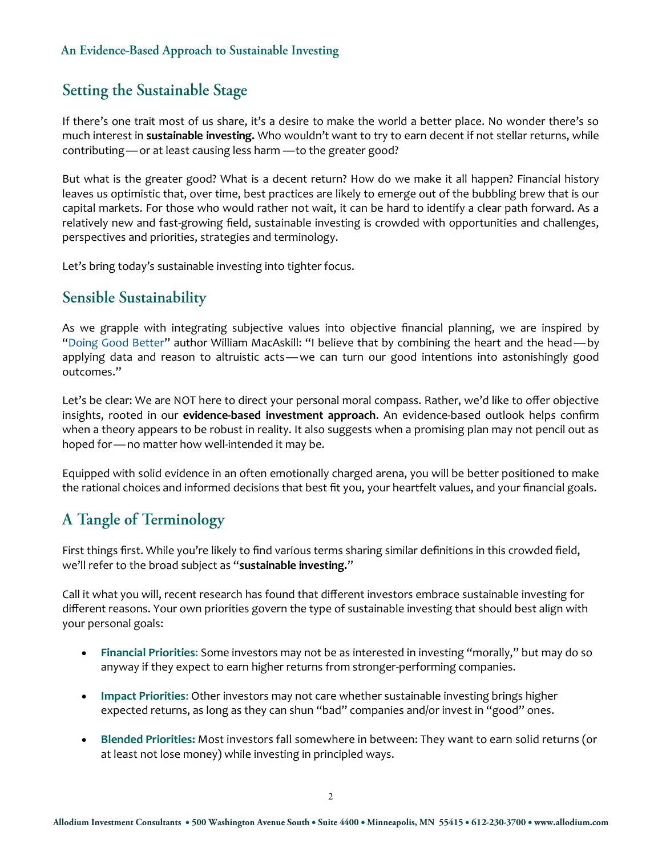#### An Evidence-Based Approach to Sustainable Investing

## **Setting the Sustainable Stage**

If there's one trait most of us share, it's a desire to make the world a better place. No wonder there's so much interest in **sustainable investing.** Who wouldn't want to try to earn decent if not stellar returns, while contributing—or at least causing less harm —to the greater good?

But what is the greater good? What is a decent return? How do we make it all happen? Financial history leaves us optimistic that, over time, best practices are likely to emerge out of the bubbling brew that is our capital markets. For those who would rather not wait, it can be hard to identify a clear path forward. As a relatively new and fast-growing field, sustainable investing is crowded with opportunities and challenges, perspectives and priorities, strategies and terminology.

Let's bring today's sustainable investing into tighter focus.

#### **Sensible Sustainability**

As we grapple with integrating subjective values into objective financial planning, we are inspired by ["Doing Good Better"](https://www.effectivealtruism.org/doing-good-better/) author William MacAskill: "I believe that by combining the heart and the head—by applying data and reason to altruistic acts—we can turn our good intentions into astonishingly good outcomes."

Let's be clear: We are NOT here to direct your personal moral compass. Rather, we'd like to offer objective insights, rooted in our **evidence-based investment approach**. An evidence-based outlook helps confirm when a theory appears to be robust in reality. It also suggests when a promising plan may not pencil out as hoped for—no matter how well-intended it may be.

Equipped with solid evidence in an often emotionally charged arena, you will be better positioned to make the rational choices and informed decisions that best fit you, your heartfelt values, and your financial goals.

## A Tangle of Terminology

First things first. While you're likely to find various terms sharing similar definitions in this crowded field, we'll refer to the broad subject as "**sustainable investing.**"

Call it what you will, recent research has found that different investors embrace sustainable investing for different reasons. Your own priorities govern the type of sustainable investing that should best align with your personal goals:

- **Financial Priorities**: Some investors may not be as interested in investing "morally," but may do so anyway if they expect to earn higher returns from stronger-performing companies.
- **Impact Priorities**: Other investors may not care whether sustainable investing brings higher expected returns, as long as they can shun "bad" companies and/or invest in "good" ones.
- **Blended Priorities:** Most investors fall somewhere in between: They want to earn solid returns (or at least not lose money) while investing in principled ways.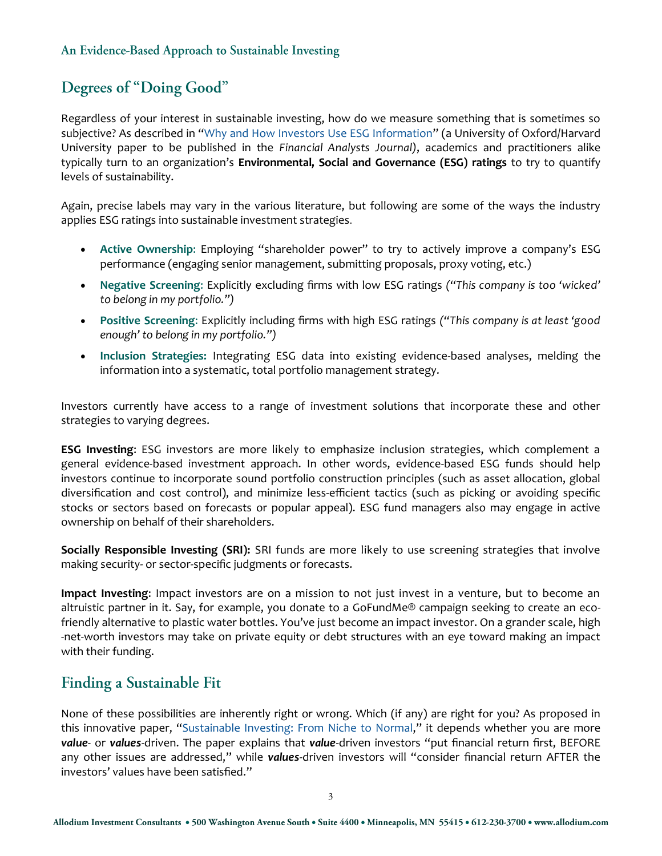## Degrees of "Doing Good"

Regardless of your interest in sustainable investing, how do we measure something that is sometimes so subjective? As described in "[Why and How Investors Use ESG Information"](https://www.cfapubs.org/doi/abs/10.2469/faj.v74.n3.2) (a University of Oxford/Harvard University paper to be published in the *Financial Analysts Journal)*, academics and practitioners alike typically turn to an organization's **Environmental, Social and Governance (ESG) ratings** to try to quantify levels of sustainability.

Again, precise labels may vary in the various literature, but following are some of the ways the industry applies ESG ratings into sustainable investment strategies.

- **Active Ownership**: Employing "shareholder power" to try to actively improve a company's ESG performance (engaging senior management, submitting proposals, proxy voting, etc.)
- **Negative Screening**: Explicitly excluding firms with low ESG ratings *("This company is too 'wicked' to belong in my portfolio.")*
- **Positive Screening**: Explicitly including firms with high ESG ratings *("This company is at least 'good enough' to belong in my portfolio.")*
- **Inclusion Strategies:** Integrating ESG data into existing evidence-based analyses, melding the information into a systematic, total portfolio management strategy.

Investors currently have access to a range of investment solutions that incorporate these and other strategies to varying degrees.

**ESG Investing**: ESG investors are more likely to emphasize inclusion strategies, which complement a general evidence-based investment approach. In other words, evidence-based ESG funds should help investors continue to incorporate sound portfolio construction principles (such as asset allocation, global diversification and cost control), and minimize less-efficient tactics (such as picking or avoiding specific stocks or sectors based on forecasts or popular appeal). ESG fund managers also may engage in active ownership on behalf of their shareholders.

**Socially Responsible Investing (SRI):** SRI funds are more likely to use screening strategies that involve making security- or sector-specific judgments or forecasts.

**Impact Investing**: Impact investors are on a mission to not just invest in a venture, but to become an altruistic partner in it. Say, for example, you donate to a GoFundMe® campaign seeking to create an ecofriendly alternative to plastic water bottles. You've just become an impact investor. On a grander scale, high -net-worth investors may take on private equity or debt structures with an eye toward making an impact with their funding.

## **Finding a Sustainable Fit**

None of these possibilities are inherently right or wrong. Which (if any) are right for you? As proposed in this innovative paper, "[Sustainable Investing: From Niche to Normal,"](http://www.vertasset.com/position-paper-esgnichetonormal2017/) it depends whether you are more *value*- or *values*-driven. The paper explains that *value*-driven investors "put financial return first, BEFORE any other issues are addressed," while *values*-driven investors will "consider financial return AFTER the investors' values have been satisfied."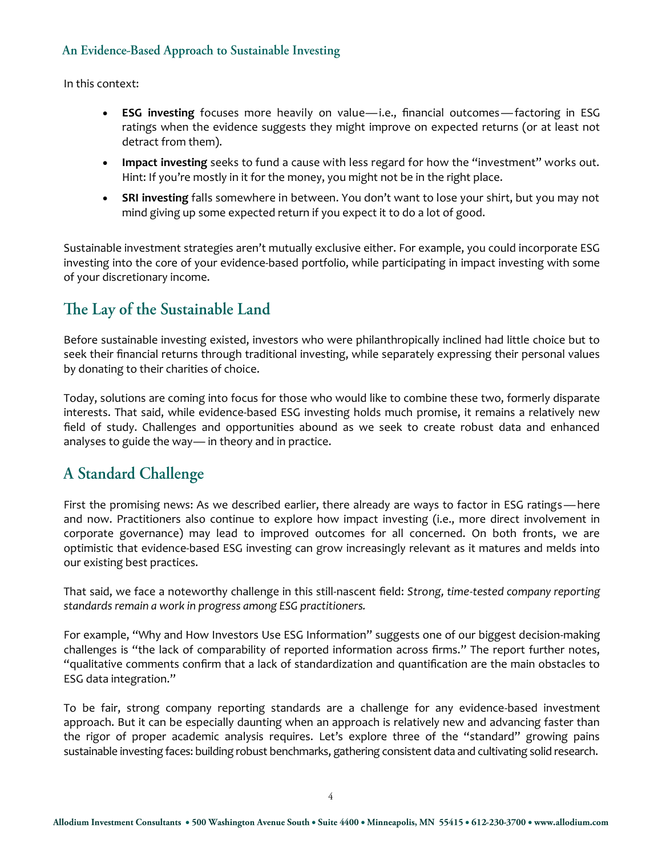#### An Evidence-Based Approach to Sustainable Investing

In this context:

- **ESG investing** focuses more heavily on value—i.e., financial outcomes—factoring in ESG ratings when the evidence suggests they might improve on expected returns (or at least not detract from them).
- **Impact investing** seeks to fund a cause with less regard for how the "investment" works out. Hint: If you're mostly in it for the money, you might not be in the right place.
- **SRI investing** falls somewhere in between. You don't want to lose your shirt, but you may not mind giving up some expected return if you expect it to do a lot of good.

Sustainable investment strategies aren't mutually exclusive either. For example, you could incorporate ESG investing into the core of your evidence-based portfolio, while participating in impact investing with some of your discretionary income.

## The Lay of the Sustainable Land

Before sustainable investing existed, investors who were philanthropically inclined had little choice but to seek their financial returns through traditional investing, while separately expressing their personal values by donating to their charities of choice.

Today, solutions are coming into focus for those who would like to combine these two, formerly disparate interests. That said, while evidence-based ESG investing holds much promise, it remains a relatively new field of study. Challenges and opportunities abound as we seek to create robust data and enhanced analyses to guide the way— in theory and in practice.

## **A Standard Challenge**

First the promising news: As we described earlier, there already are ways to factor in ESG ratings—here and now. Practitioners also continue to explore how impact investing (i.e., more direct involvement in corporate governance) may lead to improved outcomes for all concerned. On both fronts, we are optimistic that evidence-based ESG investing can grow increasingly relevant as it matures and melds into our existing best practices.

That said, we face a noteworthy challenge in this still-nascent field: *Strong, time-tested company reporting standards remain a work in progress among ESG practitioners.* 

For example, "Why and How Investors Use ESG Information" suggests one of our biggest decision-making challenges is "the lack of comparability of reported information across firms." The report further notes, "qualitative comments confirm that a lack of standardization and quantification are the main obstacles to ESG data integration."

To be fair, strong company reporting standards are a challenge for any evidence-based investment approach. But it can be especially daunting when an approach is relatively new and advancing faster than the rigor of proper academic analysis requires. Let's explore three of the "standard" growing pains sustainable investing faces: building robust benchmarks, gathering consistent data and cultivating solid research.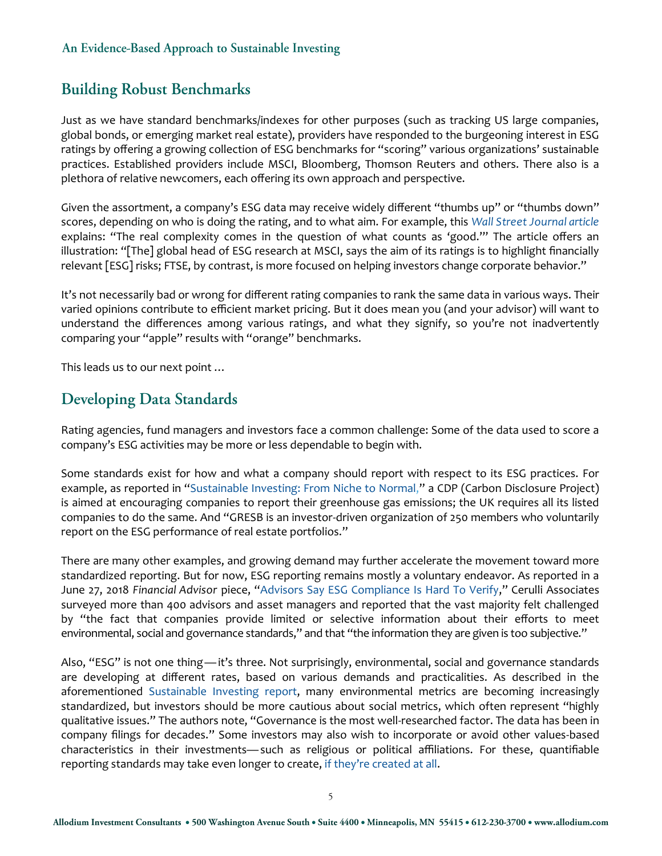#### An Evidence-Based Approach to Sustainable Investing

#### **Building Robust Benchmarks**

Just as we have standard benchmarks/indexes for other purposes (such as tracking US large companies, global bonds, or emerging market real estate), providers have responded to the burgeoning interest in ESG ratings by offering a growing collection of ESG benchmarks for "scoring" various organizations' sustainable practices. Established providers include MSCI, Bloomberg, Thomson Reuters and others. There also is a plethora of relative newcomers, each offering its own approach and perspective.

Given the assortment, a company's ESG data may receive widely different "thumbs up" or "thumbs down" scores, depending on who is doing the rating, and to what aim. For example, this *[Wall Street Journal article](https://www.wsj.com/articles/if-you-want-to-do-good-expect-to-do-badly-1530185698)* explains: "The real complexity comes in the question of what counts as 'good.'" The article offers an illustration: "[The] global head of ESG research at MSCI, says the aim of its ratings is to highlight financially relevant [ESG] risks; FTSE, by contrast, is more focused on helping investors change corporate behavior."

It's not necessarily bad or wrong for different rating companies to rank the same data in various ways. Their varied opinions contribute to efficient market pricing. But it does mean you (and your advisor) will want to understand the differences among various ratings, and what they signify, so you're not inadvertently comparing your "apple" results with "orange" benchmarks.

This leads us to our next point …

#### **Developing Data Standards**

Rating agencies, fund managers and investors face a common challenge: Some of the data used to score a company's ESG activities may be more or less dependable to begin with.

Some standards exist for how and what a company should report with respect to its ESG practices. For example, as reported in ["Sustainable Investing: From Niche to Normal,"](http://www.vertasset.com/position-paper-esgnichetonormal2017/) a CDP (Carbon Disclosure Project) is aimed at encouraging companies to report their greenhouse gas emissions; the UK requires all its listed companies to do the same. And "GRESB is an investor-driven organization of 250 members who voluntarily report on the ESG performance of real estate portfolios."

There are many other examples, and growing demand may further accelerate the movement toward more standardized reporting. But for now, ESG reporting remains mostly a voluntary endeavor. As reported in a June 27, 2018 *Financial Advisor* piece, "[Advisors Say ESG Compliance Is Hard To Verify,](https://www.fa-mag.com/news/more-and-better-data-needed-to-meet-esg-investing-needs--cerulli-says-39493.html)" Cerulli Associates surveyed more than 400 advisors and asset managers and reported that the vast majority felt challenged by "the fact that companies provide limited or selective information about their efforts to meet environmental, social and governance standards," and that "the information they are given is too subjective."

Also, "ESG" is not one thing—it's three. Not surprisingly, environmental, social and governance standards are developing at different rates, based on various demands and practicalities. As described in the aforementioned [Sustainable Investing report,](http://www.vertasset.com/position-paper-esgnichetonormal2017/) many environmental metrics are becoming increasingly standardized, but investors should be more cautious about social metrics, which often represent "highly qualitative issues." The authors note, "Governance is the most well-researched factor. The data has been in company filings for decades." Some investors may also wish to incorporate or avoid other values-based characteristics in their investments—such as religious or political affiliations. For these, quantifiable reporting standards may take even longer to create, [if they're created at all.](https://www.financial-planning.com/articles/religion-and-politics-dont-mix-with-investing)